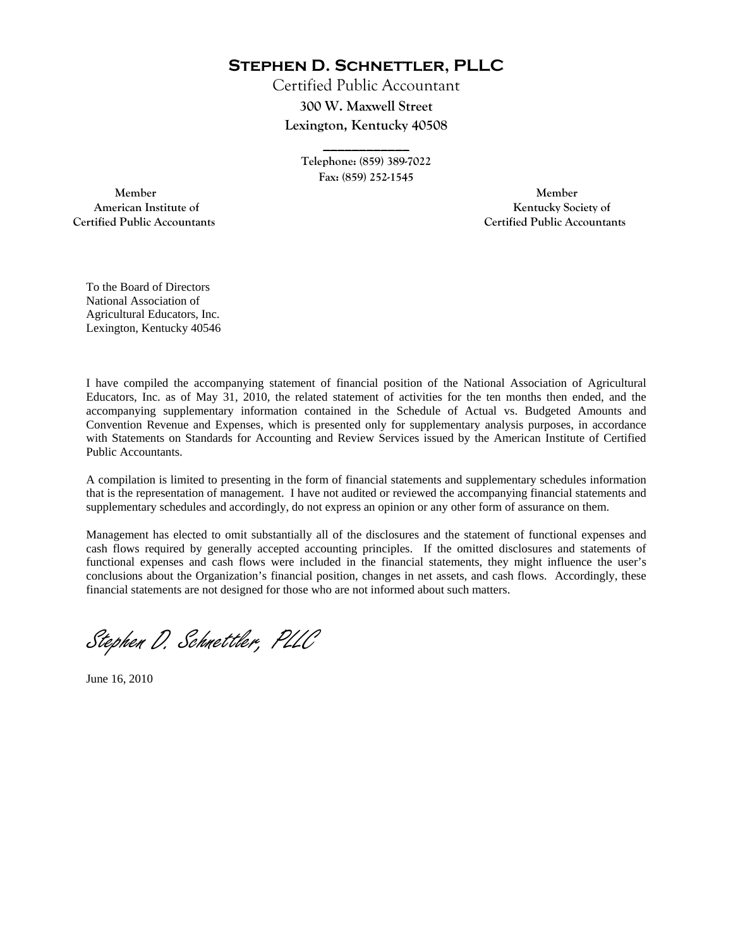**Stephen D. Schnettler, PLLC**

Certified Public Accountant **300 W. Maxwell Street Lexington, Kentucky 40508** 

> **\_\_\_\_\_\_\_\_\_\_\_\_ Telephone: (859) 389-7022 Fax: (859) 252-1545**

 **Member Member Certified Public Accountants Certified Public Accountants** 

American Institute of **Kentucky Society of** 

To the Board of Directors National Association of Agricultural Educators, Inc. Lexington, Kentucky 40546

I have compiled the accompanying statement of financial position of the National Association of Agricultural Educators, Inc. as of May 31, 2010, the related statement of activities for the ten months then ended, and the accompanying supplementary information contained in the Schedule of Actual vs. Budgeted Amounts and Convention Revenue and Expenses, which is presented only for supplementary analysis purposes, in accordance with Statements on Standards for Accounting and Review Services issued by the American Institute of Certified Public Accountants.

A compilation is limited to presenting in the form of financial statements and supplementary schedules information that is the representation of management. I have not audited or reviewed the accompanying financial statements and supplementary schedules and accordingly, do not express an opinion or any other form of assurance on them.

Management has elected to omit substantially all of the disclosures and the statement of functional expenses and cash flows required by generally accepted accounting principles. If the omitted disclosures and statements of functional expenses and cash flows were included in the financial statements, they might influence the user's conclusions about the Organization's financial position, changes in net assets, and cash flows. Accordingly, these financial statements are not designed for those who are not informed about such matters.

Stephen D. Schnettler, PLLC

June 16, 2010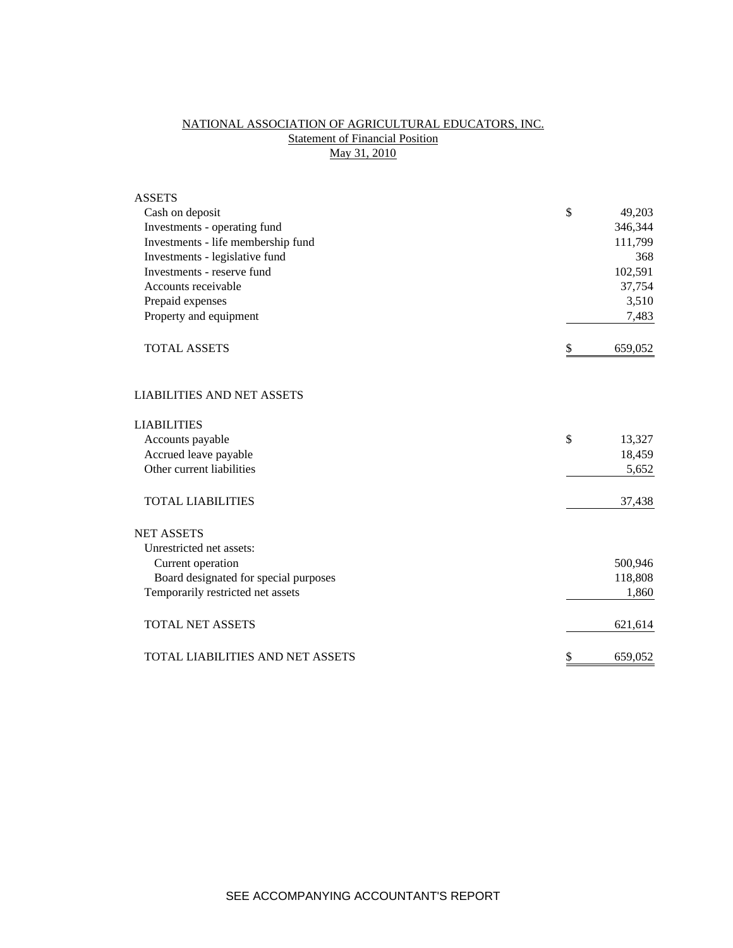## NATIONAL ASSOCIATION OF AGRICULTURAL EDUCATORS, INC. **Statement of Financial Position** May 31, 2010

| <b>ASSETS</b>                         |               |
|---------------------------------------|---------------|
| Cash on deposit                       | \$<br>49,203  |
| Investments - operating fund          | 346,344       |
| Investments - life membership fund    | 111,799       |
| Investments - legislative fund        | 368           |
| Investments - reserve fund            | 102,591       |
| Accounts receivable                   | 37,754        |
| Prepaid expenses                      | 3,510         |
| Property and equipment                | 7,483         |
| <b>TOTAL ASSETS</b>                   | \$<br>659,052 |
| <b>LIABILITIES AND NET ASSETS</b>     |               |
| <b>LIABILITIES</b>                    |               |
| Accounts payable                      | \$<br>13,327  |
| Accrued leave payable                 | 18,459        |
| Other current liabilities             | 5,652         |
| <b>TOTAL LIABILITIES</b>              | 37,438        |
| <b>NET ASSETS</b>                     |               |
| Unrestricted net assets:              |               |
| Current operation                     | 500,946       |
| Board designated for special purposes | 118,808       |
| Temporarily restricted net assets     | 1,860         |
| <b>TOTAL NET ASSETS</b>               | 621,614       |
| TOTAL LIABILITIES AND NET ASSETS      | \$<br>659,052 |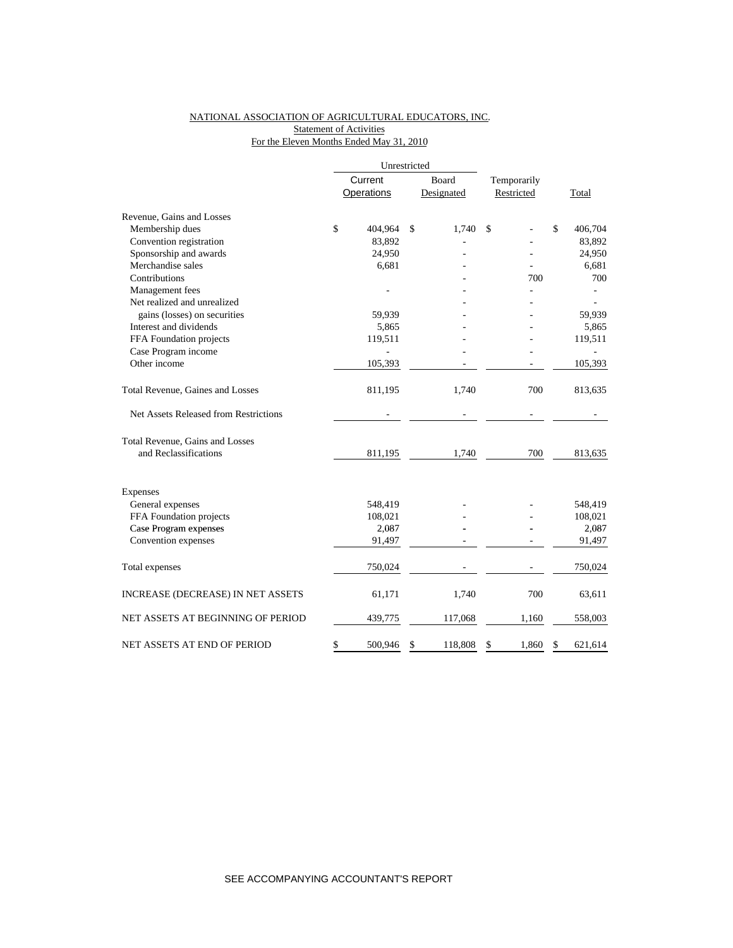# NATIONAL ASSOCIATION OF AGRICULTURAL EDUCATORS, INC.

Statement of Activities

## For the Eleven Months Ended May 31, 2010

|                                          | Unrestricted  |       |            |             |            |    |         |
|------------------------------------------|---------------|-------|------------|-------------|------------|----|---------|
|                                          | Current       | Board |            | Temporarily |            |    |         |
|                                          | Operations    |       | Designated |             | Restricted |    | Total   |
| Revenue, Gains and Losses                |               |       |            |             |            |    |         |
| Membership dues                          | \$<br>404,964 | \$    | 1,740      | \$          |            | \$ | 406,704 |
| Convention registration                  | 83,892        |       |            |             |            |    | 83,892  |
| Sponsorship and awards                   | 24,950        |       |            |             |            |    | 24,950  |
| Merchandise sales                        | 6,681         |       |            |             |            |    | 6,681   |
| Contributions                            |               |       |            |             | 700        |    | 700     |
| Management fees                          |               |       |            |             |            |    |         |
| Net realized and unrealized              |               |       |            |             |            |    |         |
| gains (losses) on securities             | 59,939        |       |            |             |            |    | 59,939  |
| Interest and dividends                   | 5,865         |       |            |             |            |    | 5,865   |
| FFA Foundation projects                  | 119,511       |       |            |             |            |    | 119,511 |
| Case Program income                      |               |       |            |             |            |    |         |
| Other income                             | 105,393       |       |            |             |            |    | 105,393 |
| Total Revenue, Gaines and Losses         | 811,195       |       | 1,740      |             | 700        |    | 813,635 |
| Net Assets Released from Restrictions    |               |       |            |             |            |    |         |
| Total Revenue, Gains and Losses          |               |       |            |             |            |    |         |
| and Reclassifications                    | 811,195       |       | 1,740      |             | 700        |    | 813,635 |
| Expenses                                 |               |       |            |             |            |    |         |
| General expenses                         | 548,419       |       |            |             |            |    | 548,419 |
| FFA Foundation projects                  | 108,021       |       |            |             |            |    | 108,021 |
| Case Program expenses                    | 2,087         |       |            |             |            |    | 2,087   |
| Convention expenses                      | 91,497        |       |            |             |            |    | 91,497  |
| Total expenses                           | 750,024       |       |            |             |            |    | 750,024 |
| <b>INCREASE (DECREASE) IN NET ASSETS</b> | 61,171        |       | 1,740      |             | 700        |    | 63,611  |
| NET ASSETS AT BEGINNING OF PERIOD        | 439,775       |       | 117,068    |             | 1,160      |    | 558,003 |
| NET ASSETS AT END OF PERIOD              | \$<br>500,946 | \$    | 118,808    | \$          | 1,860      | \$ | 621.614 |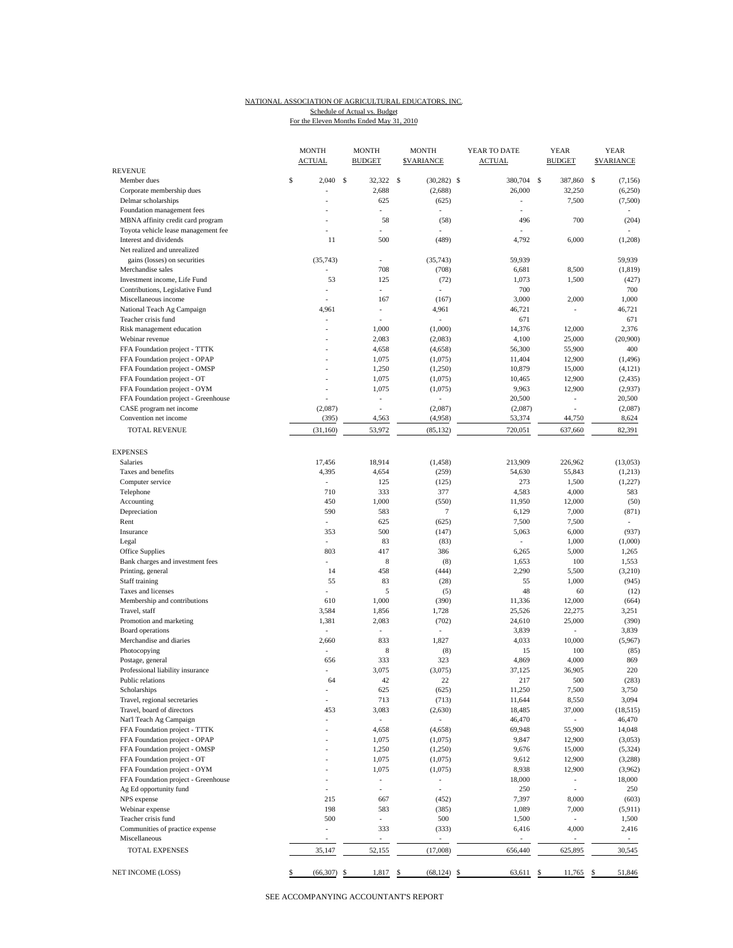#### NATIONAL ASSOCIATION OF AGRICULTURAL EDUCATORS, INC. For the Eleven Months Ended May 31, 2010 Schedule of Actual vs. Budget

|                                             | <b>MONTH</b><br><b>ACTUAL</b> | <b>MONTH</b><br><b>BUDGET</b> | <b>MONTH</b><br><b>SVARIANCE</b> | YEAR TO DATE<br><b>ACTUAL</b> |    | YEAR<br><b>BUDGET</b>    |   | <b>YEAR</b><br><b>SVARIANCE</b> |
|---------------------------------------------|-------------------------------|-------------------------------|----------------------------------|-------------------------------|----|--------------------------|---|---------------------------------|
| <b>REVENUE</b>                              |                               |                               |                                  |                               |    |                          |   |                                 |
| Member dues                                 | \$<br>2,040                   | \$<br>32,322 \$               | $(30, 282)$ \$                   | 380,704                       | -S | 387,860                  | s | (7, 156)                        |
| Corporate membership dues                   |                               | 2,688                         | (2,688)                          | 26,000                        |    | 32,250                   |   | (6,250)                         |
| Delmar scholarships                         | ÷,                            | 625                           | (625)                            | ÷,                            |    | 7,500                    |   | (7,500)                         |
| Foundation management fees                  |                               | $\overline{a}$                |                                  |                               |    |                          |   |                                 |
| MBNA affinity credit card program           |                               | 58                            | (58)                             | 496                           |    | 700                      |   | (204)                           |
| Toyota vehicle lease management fee         | ÷                             | $\overline{a}$                |                                  |                               |    |                          |   |                                 |
| Interest and dividends                      | 11                            | 500                           | (489)                            | 4,792                         |    | 6,000                    |   | (1,208)                         |
| Net realized and unrealized                 |                               |                               |                                  |                               |    |                          |   |                                 |
| gains (losses) on securities                | (35, 743)                     | $\sim$                        | (35, 743)                        | 59,939                        |    |                          |   | 59,939                          |
| Merchandise sales                           |                               | 708                           | (708)                            | 6,681                         |    | 8,500                    |   | (1, 819)                        |
| Investment income, Life Fund                | 53                            | 125                           | (72)                             | 1,073                         |    | 1,500                    |   | (427)                           |
| Contributions, Legislative Fund             |                               | ÷,                            |                                  | 700                           |    |                          |   | 700                             |
| Miscellaneous income                        | $\overline{a}$                | 167                           | (167)                            | 3,000                         |    | 2,000                    |   | 1,000                           |
| National Teach Ag Campaign                  | 4,961                         | $\overline{\phantom{a}}$      | 4,961                            | 46,721                        |    |                          |   | 46,721                          |
| Teacher crisis fund                         | ٠                             | ÷,                            | ä,                               | 671                           |    |                          |   | 671                             |
| Risk management education                   | ÷,                            | 1,000                         | (1,000)                          | 14,376                        |    | 12,000                   |   | 2,376                           |
| Webinar revenue                             |                               | 2,083                         | (2,083)                          | 4,100                         |    | 25,000                   |   | (20,900)                        |
| FFA Foundation project - TTTK               |                               | 4,658                         | (4,658)                          | 56,300                        |    | 55,900                   |   | 400                             |
| FFA Foundation project - OPAP               | ٠                             | 1,075                         | (1,075)                          | 11,404                        |    | 12,900                   |   | (1, 496)                        |
| FFA Foundation project - OMSP               |                               | 1,250                         | (1,250)                          | 10,879                        |    | 15,000                   |   | (4, 121)                        |
| FFA Foundation project - OT                 | ÷                             | 1,075                         | (1,075)                          | 10,465                        |    | 12,900                   |   | (2, 435)                        |
| FFA Foundation project - OYM                |                               | 1,075                         | (1,075)                          | 9,963                         |    | 12,900                   |   | (2,937)                         |
| FFA Foundation project - Greenhouse         |                               | ÷,                            | ÷                                | 20,500                        |    | ٠                        |   | 20,500                          |
| CASE program net income                     | (2,087)                       | L,                            | (2,087)                          | (2,087)                       |    |                          |   | (2,087)                         |
| Convention net income                       | (395)                         | 4,563                         | (4,958)                          | 53,374                        |    | 44,750                   |   | 8,624                           |
|                                             |                               |                               |                                  |                               |    |                          |   |                                 |
| <b>TOTAL REVENUE</b>                        | (31, 160)                     | 53,972                        | (85, 132)                        | 720,051                       |    | 637,660                  |   | 82,391                          |
| <b>EXPENSES</b>                             |                               |                               |                                  |                               |    |                          |   |                                 |
| <b>Salaries</b>                             | 17,456                        | 18,914                        | (1, 458)                         | 213,909                       |    | 226,962                  |   | (13,053)                        |
| Taxes and benefits                          | 4,395                         | 4,654                         | (259)                            | 54,630                        |    | 55,843                   |   | (1,213)                         |
| Computer service                            | $\overline{\phantom{a}}$      | 125                           | (125)                            | 273                           |    | 1,500                    |   | (1,227)                         |
| Telephone                                   | 710                           | 333                           | 377                              | 4,583                         |    | 4,000                    |   | 583                             |
| Accounting                                  | 450                           | 1,000                         | (550)                            | 11,950                        |    | 12,000                   |   | (50)                            |
| Depreciation                                | 590                           | 583                           | $\tau$                           | 6,129                         |    | 7,000                    |   | (871)                           |
| Rent                                        | ÷,                            | 625                           | (625)                            | 7,500                         |    | 7,500                    |   | ÷.                              |
| Insurance                                   | 353                           | 500                           | (147)                            | 5,063                         |    | 6,000                    |   | (937)                           |
| Legal                                       |                               | 83                            | (83)                             |                               |    | 1,000                    |   | (1,000)                         |
| Office Supplies                             | 803                           | 417                           | 386                              | 6,265                         |    | 5,000                    |   | 1,265                           |
| Bank charges and investment fees            | L.                            | 8                             | (8)                              | 1,653                         |    | 100                      |   | 1,553                           |
| Printing, general                           | 14                            | 458                           | (444)                            | 2,290                         |    | 5,500                    |   | (3,210)                         |
| Staff training                              | 55                            | 83                            | (28)                             | 55                            |    | 1,000                    |   | (945)                           |
| Taxes and licenses                          |                               | 5                             | (5)                              | 48                            |    | 60                       |   | (12)                            |
| Membership and contributions                | 610                           | 1,000                         | (390)                            | 11,336                        |    | 12,000                   |   | (664)                           |
| Travel, staff                               | 3,584                         | 1,856                         | 1,728                            | 25,526                        |    | 22,275                   |   | 3,251                           |
| Promotion and marketing                     | 1,381                         | 2,083                         | (702)                            | 24,610                        |    | 25,000                   |   | (390)                           |
|                                             | $\overline{\phantom{a}}$      | $\overline{\phantom{a}}$      | ÷,                               |                               |    |                          |   | 3,839                           |
| Board operations<br>Merchandise and diaries |                               |                               |                                  | 3,839                         |    |                          |   |                                 |
|                                             | 2,660                         | 833                           | 1,827                            | 4,033                         |    | 10,000                   |   | (5,967)                         |
| Photocopying                                |                               | 8                             | (8)                              | 15                            |    | 100                      |   | (85)                            |
| Postage, general                            | 656                           | 333                           | 323                              | 4,869                         |    | 4,000                    |   | 869                             |
| Professional liability insurance            |                               | 3,075                         | (3,075)                          | 37,125                        |    | 36,905                   |   | 220                             |
| Public relations                            | 64                            | 42                            | 22                               | 217                           |    | 500                      |   | (283)                           |
| Scholarships                                |                               | 625                           | (625)                            | 11,250                        |    | 7,500                    |   | 3,750                           |
| Travel, regional secretaries                |                               | 713                           | (713)                            | 11,644                        |    | 8,550                    |   | 3,094                           |
| Travel, board of directors                  | 453                           | 3,083                         | (2,630)                          | 18,485                        |    | 37,000                   |   | (18, 515)                       |
| Nat'l Teach Ag Campaign                     |                               |                               |                                  | 46,470                        |    | ä,                       |   | 46,470                          |
| FFA Foundation project - TTTK               |                               | 4,658                         | (4,658)                          | 69,948                        |    | 55,900                   |   | 14,048                          |
| FFA Foundation project - OPAP               |                               | 1,075                         | (1,075)                          | 9,847                         |    | 12,900                   |   | (3,053)                         |
| FFA Foundation project - OMSP               |                               | 1,250                         | (1,250)                          | 9,676                         |    | 15,000                   |   | (5, 324)                        |
| FFA Foundation project - OT                 |                               | 1,075                         | (1,075)                          | 9,612                         |    | 12,900                   |   | (3,288)                         |
| FFA Foundation project - OYM                |                               | 1,075                         | (1,075)                          | 8,938                         |    | 12,900                   |   | (3,962)                         |
| FFA Foundation project - Greenhouse         |                               | $\sim$                        | $\overline{a}$                   | 18,000                        |    | $\overline{\phantom{a}}$ |   | 18,000                          |
| Ag Ed opportunity fund                      | L.                            | $\overline{a}$                | $\overline{a}$                   | 250                           |    | $\overline{a}$           |   | 250                             |
| NPS expense                                 | 215                           | 667                           | (452)                            | 7,397                         |    | 8,000                    |   | (603)                           |
| Webinar expense                             | 198                           | 583                           | (385)                            | 1,089                         |    | 7,000                    |   | (5, 911)                        |
| Teacher crisis fund                         | 500                           | $\overline{\phantom{a}}$      | 500                              | 1,500                         |    | $\overline{a}$           |   | 1,500                           |
| Communities of practice expense             | ÷,                            | 333                           | (333)                            | 6,416                         |    | 4,000                    |   | 2,416                           |
| Miscellaneous                               |                               |                               |                                  |                               |    |                          |   |                                 |
| <b>TOTAL EXPENSES</b>                       | 35,147                        | 52,155                        | (17,008)                         | 656,440                       |    | 625,895                  |   | 30,545                          |
|                                             |                               |                               |                                  |                               |    |                          |   |                                 |
| NET INCOME (LOSS)                           | \$<br>(66, 307)               | \$<br>1,817                   | \$<br>(68, 124)                  | \$<br>63,611                  | \$ | 11,765                   | S | 51,846                          |

SEE ACCOMPANYING ACCOUNTANT'S REPORT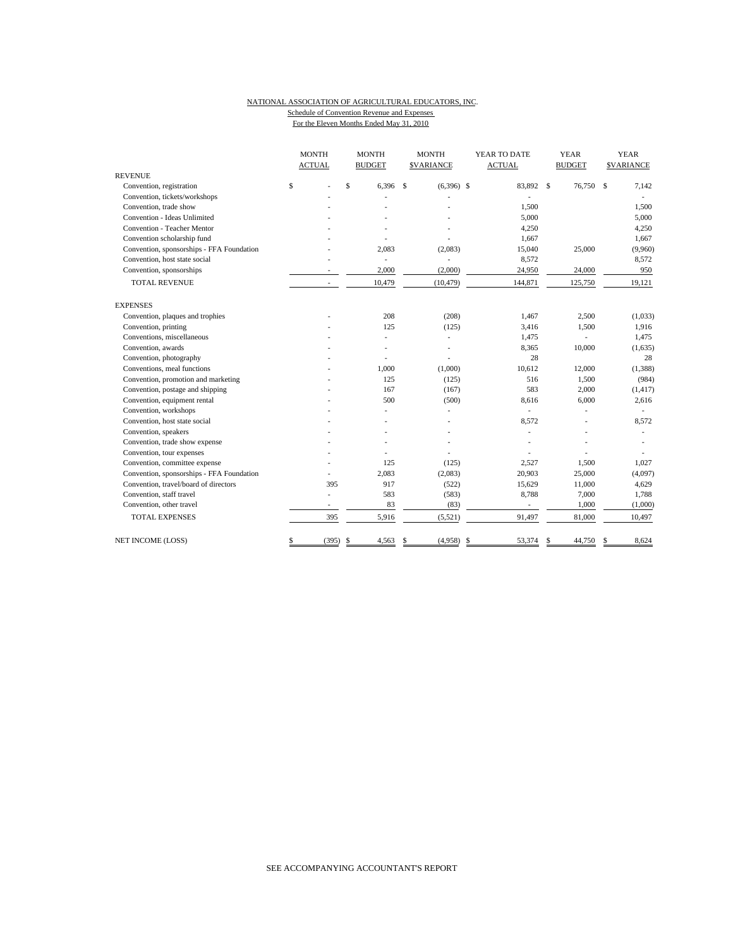## NATIONAL ASSOCIATION OF AGRICULTURAL EDUCATORS, INC. Schedule of Convention Revenue and Expenses

|  | For the Eleven Months Ended May 31, 2010 |  |  |
|--|------------------------------------------|--|--|
|  |                                          |  |  |

| <b>MONTH</b><br><b>ACTUAL</b>             |                          | <b>MONTH</b><br><b>BUDGET</b> | <b>MONTH</b><br><b>SVARIANCE</b> | YEAR TO DATE<br><b>ACTUAL</b> | <b>YEAR</b><br><b>BUDGET</b> | <b>YEAR</b><br><b>\$VARIANCE</b> |  |
|-------------------------------------------|--------------------------|-------------------------------|----------------------------------|-------------------------------|------------------------------|----------------------------------|--|
| <b>REVENUE</b>                            |                          |                               |                                  |                               |                              |                                  |  |
| Convention, registration                  | \$                       | $\mathsf{s}$<br>6.396         | <sup>\$</sup><br>$(6,396)$ \$    | 83,892 \$                     | 76,750                       | <sup>\$</sup><br>7,142           |  |
| Convention, tickets/workshops             |                          |                               |                                  |                               |                              |                                  |  |
| Convention, trade show                    |                          |                               |                                  | 1,500                         |                              | 1,500                            |  |
| Convention - Ideas Unlimited              |                          |                               |                                  | 5,000                         |                              | 5,000                            |  |
| Convention - Teacher Mentor               |                          |                               |                                  | 4,250                         |                              | 4,250                            |  |
| Convention scholarship fund               |                          |                               |                                  | 1,667                         |                              | 1,667                            |  |
| Convention, sponsorships - FFA Foundation |                          | 2,083                         | (2,083)                          | 15,040                        | 25,000                       | (9,960)                          |  |
| Convention, host state social             |                          | ÷.                            | ä,                               | 8,572                         |                              | 8,572                            |  |
| Convention, sponsorships                  |                          | 2,000                         | (2,000)                          | 24,950                        | 24,000                       | 950                              |  |
| <b>TOTAL REVENUE</b>                      | $\overline{a}$           | 10,479                        | (10, 479)                        | 144,871                       | 125,750                      | 19,121                           |  |
| <b>EXPENSES</b>                           |                          |                               |                                  |                               |                              |                                  |  |
| Convention, plaques and trophies          |                          | 208                           | (208)                            | 1,467                         | 2,500                        | (1,033)                          |  |
| Convention, printing                      |                          | 125                           | (125)                            | 3,416                         | 1,500                        | 1,916                            |  |
| Conventions, miscellaneous                |                          |                               | ÷,                               | 1,475                         |                              | 1,475                            |  |
| Convention, awards                        |                          |                               | $\overline{a}$                   | 8,365                         | 10,000                       | (1,635)                          |  |
| Convention, photography                   |                          |                               |                                  | 28                            |                              | 28                               |  |
| Conventions, meal functions               |                          | 1,000                         | (1,000)                          | 10,612                        | 12,000                       | (1, 388)                         |  |
| Convention, promotion and marketing       |                          | 125                           | (125)                            | 516                           | 1,500                        | (984)                            |  |
| Convention, postage and shipping          |                          | 167                           | (167)                            | 583                           | 2,000                        | (1, 417)                         |  |
| Convention, equipment rental              |                          | 500                           | (500)                            | 8,616                         | 6,000                        | 2,616                            |  |
| Convention, workshops                     |                          |                               |                                  |                               |                              |                                  |  |
| Convention, host state social             |                          |                               |                                  | 8,572                         |                              | 8,572                            |  |
| Convention, speakers                      |                          |                               |                                  |                               |                              |                                  |  |
| Convention, trade show expense            |                          |                               |                                  |                               |                              |                                  |  |
| Convention, tour expenses                 |                          |                               |                                  |                               |                              |                                  |  |
| Convention, committee expense             |                          | 125                           | (125)                            | 2.527                         | 1,500                        | 1,027                            |  |
| Convention, sponsorships - FFA Foundation |                          | 2,083                         | (2,083)                          | 20,903                        | 25,000                       | (4,097)                          |  |
| Convention, travel/board of directors     | 395                      | 917                           | (522)                            | 15,629                        | 11,000                       | 4,629                            |  |
| Convention, staff travel                  | L.                       | 583                           | (583)                            | 8,788                         | 7,000                        | 1,788                            |  |
| Convention, other travel                  | $\overline{\phantom{0}}$ | 83                            | (83)                             | $\overline{\phantom{a}}$      | 1,000                        | (1,000)                          |  |
| <b>TOTAL EXPENSES</b>                     | 395                      | 5,916                         | (5,521)                          | 91,497                        | 81,000                       | 10,497                           |  |
| <b>NET INCOME (LOSS)</b>                  | \$<br>(395)              | \$<br>4,563                   | (4,958)<br>\$                    | \$<br>53,374                  | \$<br>44,750                 | 8,624<br>\$                      |  |